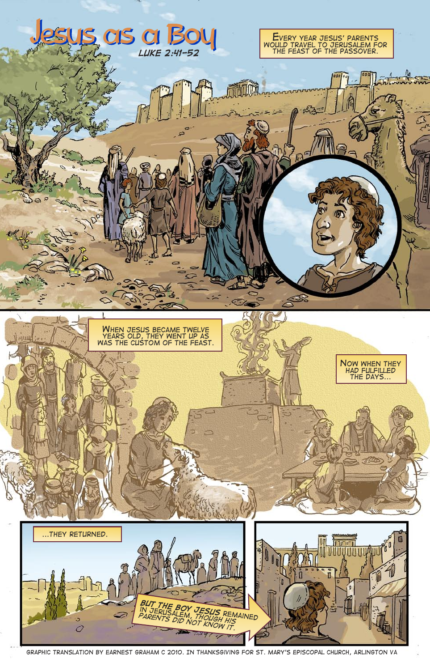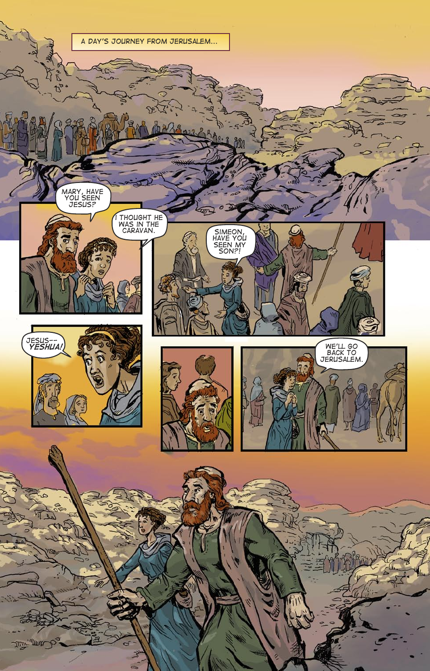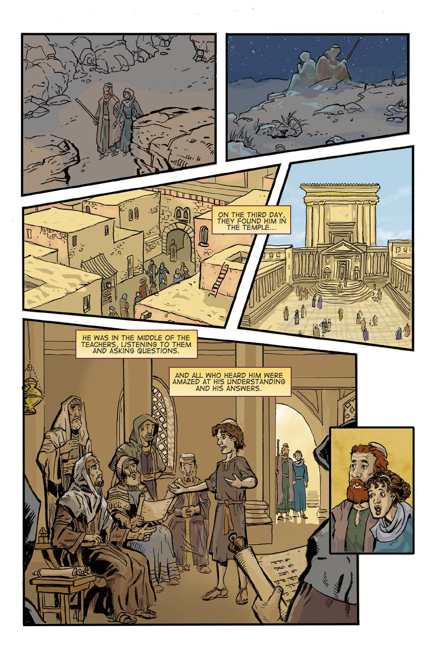